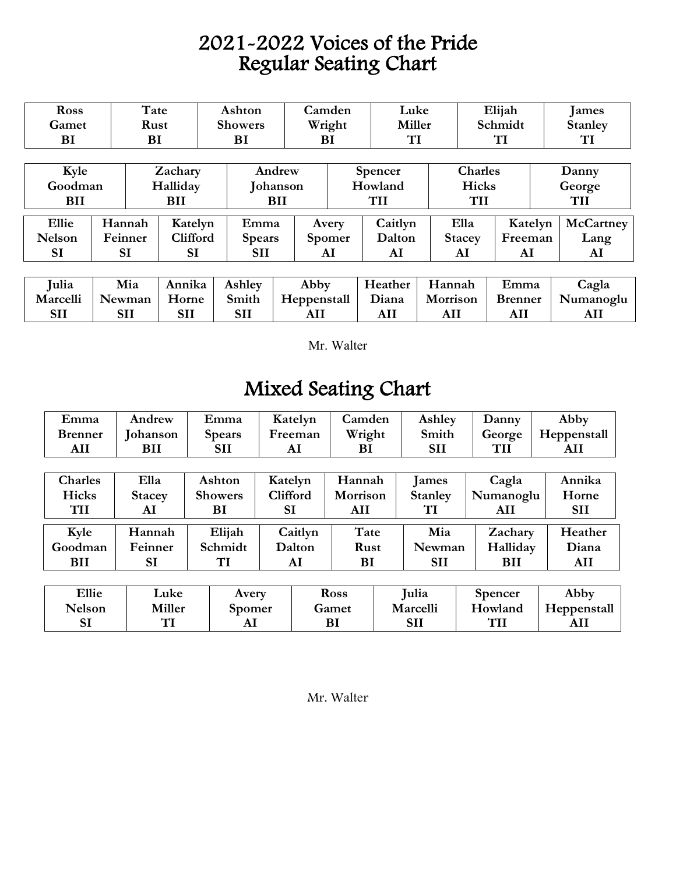## 2021-2022 Voices of the Pride Regular Seating Chart

| <b>Ross</b>   |      | Tate                   |            | Ashton          |                 | Camden        |                | Luke    |               | Elijah    |         |  | lames          |
|---------------|------|------------------------|------------|-----------------|-----------------|---------------|----------------|---------|---------------|-----------|---------|--|----------------|
| Gamet         | Rust |                        |            | <b>Showers</b>  |                 | Wright        |                | Miller  |               | Schmidt   |         |  | <b>Stanley</b> |
| BI            | BI   |                        |            |                 | BI              | BI            |                | TI      |               | <b>TI</b> |         |  | TI             |
|               |      |                        |            |                 |                 |               |                |         |               |           |         |  |                |
| Kyle          |      |                        | Zachary    |                 | Andrew          |               | <b>Spencer</b> |         | Charles       |           | Danny   |  |                |
| Goodman       |      |                        | Halliday   |                 | <b>Johanson</b> |               | Howland        |         | Hicks         |           | George  |  |                |
| <b>BII</b>    |      |                        | <b>BII</b> |                 | BII             |               | <b>TII</b>     |         | TII           |           | TII     |  |                |
|               |      |                        |            |                 |                 |               |                |         |               |           |         |  |                |
| Ellie         |      | Hannah<br>Katelyn      |            |                 | Emma            |               | Avery          | Caitlyn | Ella          |           | Katelyn |  | McCartney      |
| <b>Nelson</b> |      | Feinner                |            | <b>Clifford</b> | <b>Spears</b>   | <b>Spomer</b> |                | Dalton  | <b>Stacey</b> |           | Freeman |  | Lang           |
| <b>SI</b>     |      | <b>SI</b><br><b>SI</b> |            |                 | <b>SII</b>      |               | AI             | AI      | AI            | AI        |         |  | AI             |
|               |      |                        |            |                 |                 |               |                |         |               |           |         |  |                |

| <b>Julia</b> | Mia        | Annika     | Ashley     | Abby        | Heather | Hannah   | Emma           | Cagla     |
|--------------|------------|------------|------------|-------------|---------|----------|----------------|-----------|
| Marcelli     | Newman     | Horne      | Smith      | Heppenstall | Diana   | Morrison | <b>Brenner</b> | Numanoglu |
| SH           | <b>SII</b> | <b>SII</b> | <b>SII</b> | All         | AIJ     | AI.      |                |           |

Mr. Walter

## Mixed Seating Chart

| Emma           | Andrew        | Emma           |               | Katelyn | Camden      |                | Ashley     | Danny          | Abby        |  |  |
|----------------|---------------|----------------|---------------|---------|-------------|----------------|------------|----------------|-------------|--|--|
| <b>Brenner</b> | Johanson      | <b>Spears</b>  | Freeman       |         |             | Wright         |            | George         | Heppenstall |  |  |
| AII            | BII           | <b>SII</b>     |               | AI      | BI          |                | <b>SII</b> | <b>TII</b>     | AII         |  |  |
|                |               |                |               |         |             |                |            |                |             |  |  |
| <b>Charles</b> | Ella          | Ashton         | Katelyn       |         | Hannah      |                | James      | Cagla          | Annika      |  |  |
| <b>Hicks</b>   | <b>Stacey</b> | <b>Showers</b> | Clifford      |         | Morrison    | <b>Stanley</b> |            | Numanoglu      | Horne       |  |  |
| <b>TII</b>     | AI            | ВI             | <b>SI</b>     |         | AII         |                | TI         | AII            | <b>SII</b>  |  |  |
| Kyle           | Hannah        | Elijah         | Caitlyn       |         | Tate        |                | Mia        | Zachary        | Heather     |  |  |
| Goodman        | Feinner       | Schmidt        | Dalton        |         | <b>Rust</b> |                | Newman     | Halliday       | Diana       |  |  |
| <b>BII</b>     | <b>SI</b>     | TI             | AI            |         | BI          |                | <b>SII</b> | <b>BII</b>     | AII         |  |  |
|                |               |                |               |         |             |                |            |                |             |  |  |
| Ellie          | Luke          |                | Avery         |         | <b>Ross</b> |                | Julia      | <b>Spencer</b> | Abby        |  |  |
| <b>Nelson</b>  | <b>Miller</b> |                | <b>Spomer</b> |         | Gamet       |                | Marcelli   | Howland        | Heppenstall |  |  |
| SI             | <b>TI</b>     |                | AI            |         | BI          |                | <b>SII</b> | <b>TII</b>     | AII         |  |  |

Mr. Walter